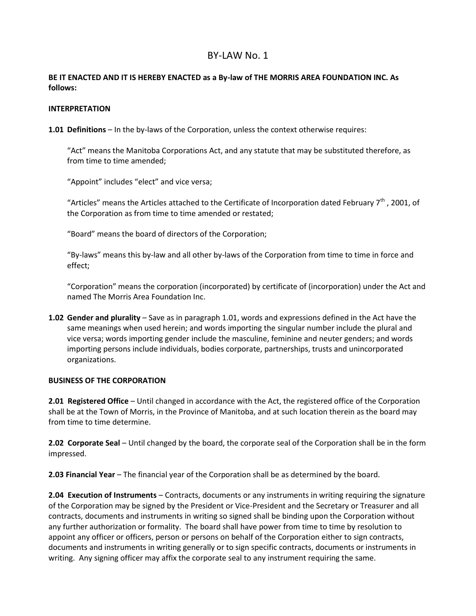# BY-LAW No. 1

### **BE IT ENACTED AND IT IS HEREBY ENACTED as a By-law of THE MORRIS AREA FOUNDATION INC. As follows:**

#### **INTERPRETATION**

**1.01 Definitions** – In the by-laws of the Corporation, unless the context otherwise requires:

"Act" means the Manitoba Corporations Act, and any statute that may be substituted therefore, as from time to time amended;

"Appoint" includes "elect" and vice versa;

"Articles" means the Articles attached to the Certificate of Incorporation dated February  $7<sup>th</sup>$ , 2001, of the Corporation as from time to time amended or restated;

"Board" means the board of directors of the Corporation;

"By-laws" means this by-law and all other by-laws of the Corporation from time to time in force and effect;

"Corporation" means the corporation (incorporated) by certificate of (incorporation) under the Act and named The Morris Area Foundation Inc.

**1.02 Gender and plurality** – Save as in paragraph 1.01, words and expressions defined in the Act have the same meanings when used herein; and words importing the singular number include the plural and vice versa; words importing gender include the masculine, feminine and neuter genders; and words importing persons include individuals, bodies corporate, partnerships, trusts and unincorporated organizations.

#### **BUSINESS OF THE CORPORATION**

**2.01 Registered Office** – Until changed in accordance with the Act, the registered office of the Corporation shall be at the Town of Morris, in the Province of Manitoba, and at such location therein as the board may from time to time determine.

**2.02 Corporate Seal** – Until changed by the board, the corporate seal of the Corporation shall be in the form impressed.

**2.03 Financial Year** – The financial year of the Corporation shall be as determined by the board.

**2.04 Execution of Instruments** – Contracts, documents or any instruments in writing requiring the signature of the Corporation may be signed by the President or Vice-President and the Secretary or Treasurer and all contracts, documents and instruments in writing so signed shall be binding upon the Corporation without any further authorization or formality. The board shall have power from time to time by resolution to appoint any officer or officers, person or persons on behalf of the Corporation either to sign contracts, documents and instruments in writing generally or to sign specific contracts, documents or instruments in writing. Any signing officer may affix the corporate seal to any instrument requiring the same.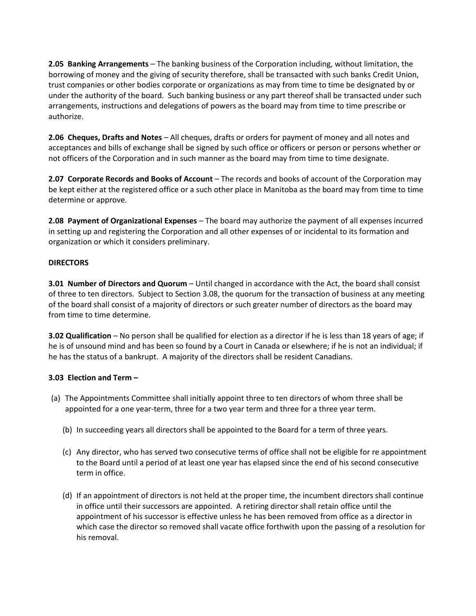**2.05 Banking Arrangements** – The banking business of the Corporation including, without limitation, the borrowing of money and the giving of security therefore, shall be transacted with such banks Credit Union, trust companies or other bodies corporate or organizations as may from time to time be designated by or under the authority of the board. Such banking business or any part thereof shall be transacted under such arrangements, instructions and delegations of powers as the board may from time to time prescribe or authorize.

**2.06 Cheques, Drafts and Notes** – All cheques, drafts or orders for payment of money and all notes and acceptances and bills of exchange shall be signed by such office or officers or person or persons whether or not officers of the Corporation and in such manner as the board may from time to time designate.

**2.07 Corporate Records and Books of Account** – The records and books of account of the Corporation may be kept either at the registered office or a such other place in Manitoba as the board may from time to time determine or approve.

**2.08 Payment of Organizational Expenses** – The board may authorize the payment of all expenses incurred in setting up and registering the Corporation and all other expenses of or incidental to its formation and organization or which it considers preliminary.

### **DIRECTORS**

**3.01 Number of Directors and Quorum** – Until changed in accordance with the Act, the board shall consist of three to ten directors. Subject to Section 3.08, the quorum for the transaction of business at any meeting of the board shall consist of a majority of directors or such greater number of directors as the board may from time to time determine.

**3.02 Qualification** – No person shall be qualified for election as a director if he is less than 18 years of age; if he is of unsound mind and has been so found by a Court in Canada or elsewhere; if he is not an individual; if he has the status of a bankrupt. A majority of the directors shall be resident Canadians.

#### **3.03 Election and Term –**

- (a) The Appointments Committee shall initially appoint three to ten directors of whom three shall be appointed for a one year-term, three for a two year term and three for a three year term.
	- (b) In succeeding years all directors shall be appointed to the Board for a term of three years.
	- (c) Any director, who has served two consecutive terms of office shall not be eligible for re appointment to the Board until a period of at least one year has elapsed since the end of his second consecutive term in office.
	- (d) If an appointment of directors is not held at the proper time, the incumbent directors shall continue in office until their successors are appointed. A retiring director shall retain office until the appointment of his successor is effective unless he has been removed from office as a director in which case the director so removed shall vacate office forthwith upon the passing of a resolution for his removal.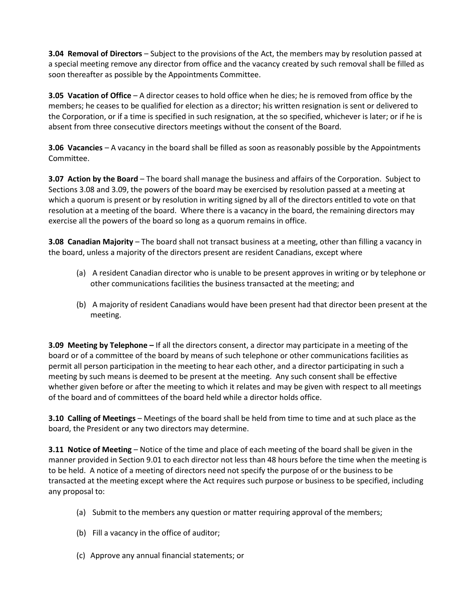**3.04 Removal of Directors** – Subject to the provisions of the Act, the members may by resolution passed at a special meeting remove any director from office and the vacancy created by such removal shall be filled as soon thereafter as possible by the Appointments Committee.

**3.05 Vacation of Office** – A director ceases to hold office when he dies; he is removed from office by the members; he ceases to be qualified for election as a director; his written resignation is sent or delivered to the Corporation, or if a time is specified in such resignation, at the so specified, whichever is later; or if he is absent from three consecutive directors meetings without the consent of the Board.

**3.06 Vacancies** – A vacancy in the board shall be filled as soon as reasonably possible by the Appointments Committee.

**3.07 Action by the Board** – The board shall manage the business and affairs of the Corporation. Subject to Sections 3.08 and 3.09, the powers of the board may be exercised by resolution passed at a meeting at which a quorum is present or by resolution in writing signed by all of the directors entitled to vote on that resolution at a meeting of the board. Where there is a vacancy in the board, the remaining directors may exercise all the powers of the board so long as a quorum remains in office.

**3.08 Canadian Majority** – The board shall not transact business at a meeting, other than filling a vacancy in the board, unless a majority of the directors present are resident Canadians, except where

- (a) A resident Canadian director who is unable to be present approves in writing or by telephone or other communications facilities the business transacted at the meeting; and
- (b) A majority of resident Canadians would have been present had that director been present at the meeting.

**3.09 Meeting by Telephone –** If all the directors consent, a director may participate in a meeting of the board or of a committee of the board by means of such telephone or other communications facilities as permit all person participation in the meeting to hear each other, and a director participating in such a meeting by such means is deemed to be present at the meeting. Any such consent shall be effective whether given before or after the meeting to which it relates and may be given with respect to all meetings of the board and of committees of the board held while a director holds office.

**3.10 Calling of Meetings** – Meetings of the board shall be held from time to time and at such place as the board, the President or any two directors may determine.

**3.11 Notice of Meeting** – Notice of the time and place of each meeting of the board shall be given in the manner provided in Section 9.01 to each director not less than 48 hours before the time when the meeting is to be held. A notice of a meeting of directors need not specify the purpose of or the business to be transacted at the meeting except where the Act requires such purpose or business to be specified, including any proposal to:

- (a) Submit to the members any question or matter requiring approval of the members;
- (b) Fill a vacancy in the office of auditor;
- (c) Approve any annual financial statements; or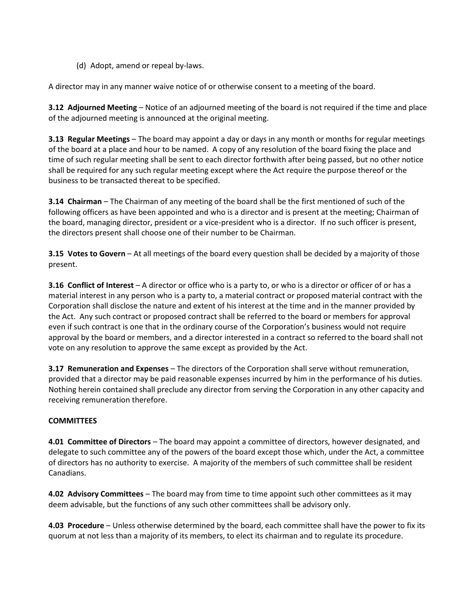(d) Adopt, amend or repeal by-laws.

A director may in any manner waive notice of or otherwise consent to a meeting of the board.

**3.12 Adjourned Meeting** – Notice of an adjourned meeting of the board is not required if the time and place of the adjourned meeting is announced at the original meeting.

**3.13 Regular Meetings** – The board may appoint a day or days in any month or months for regular meetings of the board at a place and hour to be named. A copy of any resolution of the board fixing the place and time of such regular meeting shall be sent to each director forthwith after being passed, but no other notice shall be required for any such regular meeting except where the Act require the purpose thereof or the business to be transacted thereat to be specified.

**3.14 Chairman** – The Chairman of any meeting of the board shall be the first mentioned of such of the following officers as have been appointed and who is a director and is present at the meeting; Chairman of the board, managing director, president or a vice-president who is a director. If no such officer is present, the directors present shall choose one of their number to be Chairman.

**3.15 Votes to Govern** – At all meetings of the board every question shall be decided by a majority of those present.

**3.16 Conflict of Interest** – A director or office who is a party to, or who is a director or officer of or has a material interest in any person who is a party to, a material contract or proposed material contract with the Corporation shall disclose the nature and extent of his interest at the time and in the manner provided by the Act. Any such contract or proposed contract shall be referred to the board or members for approval even if such contract is one that in the ordinary course of the Corporation's business would not require approval by the board or members, and a director interested in a contract so referred to the board shall not vote on any resolution to approve the same except as provided by the Act.

**3.17 Remuneration and Expenses** – The directors of the Corporation shall serve without remuneration, provided that a director may be paid reasonable expenses incurred by him in the performance of his duties. Nothing herein contained shall preclude any director from serving the Corporation in any other capacity and receiving remuneration therefore.

# **COMMITTEES**

**4.01 Committee of Directors** – The board may appoint a committee of directors, however designated, and delegate to such committee any of the powers of the board except those which, under the Act, a committee of directors has no authority to exercise. A majority of the members of such committee shall be resident Canadians.

**4.02 Advisory Committees** – The board may from time to time appoint such other committees as it may deem advisable, but the functions of any such other committees shall be advisory only.

**4.03 Procedure** – Unless otherwise determined by the board, each committee shall have the power to fix its quorum at not less than a majority of its members, to elect its chairman and to regulate its procedure.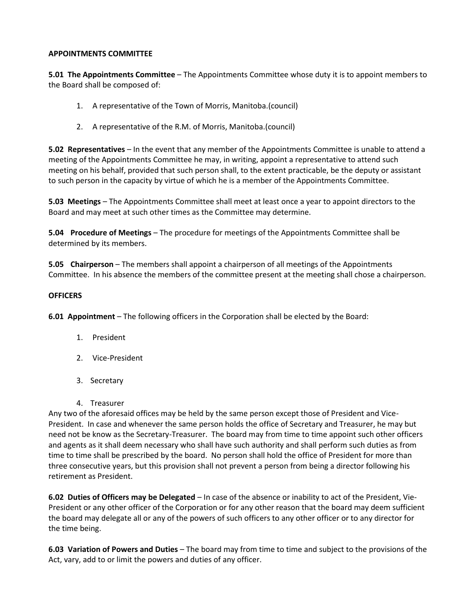#### **APPOINTMENTS COMMITTEE**

**5.01 The Appointments Committee** – The Appointments Committee whose duty it is to appoint members to the Board shall be composed of:

- 1. A representative of the Town of Morris, Manitoba.(council)
- 2. A representative of the R.M. of Morris, Manitoba.(council)

**5.02 Representatives** – In the event that any member of the Appointments Committee is unable to attend a meeting of the Appointments Committee he may, in writing, appoint a representative to attend such meeting on his behalf, provided that such person shall, to the extent practicable, be the deputy or assistant to such person in the capacity by virtue of which he is a member of the Appointments Committee.

**5.03 Meetings** – The Appointments Committee shall meet at least once a year to appoint directors to the Board and may meet at such other times as the Committee may determine.

**5.04 Procedure of Meetings** – The procedure for meetings of the Appointments Committee shall be determined by its members.

**5.05 Chairperson** – The members shall appoint a chairperson of all meetings of the Appointments Committee. In his absence the members of the committee present at the meeting shall chose a chairperson.

#### **OFFICERS**

**6.01 Appointment** – The following officers in the Corporation shall be elected by the Board:

- 1. President
- 2. Vice-President
- 3. Secretary
- 4. Treasurer

Any two of the aforesaid offices may be held by the same person except those of President and Vice-President. In case and whenever the same person holds the office of Secretary and Treasurer, he may but need not be know as the Secretary-Treasurer. The board may from time to time appoint such other officers and agents as it shall deem necessary who shall have such authority and shall perform such duties as from time to time shall be prescribed by the board. No person shall hold the office of President for more than three consecutive years, but this provision shall not prevent a person from being a director following his retirement as President.

**6.02 Duties of Officers may be Delegated** – In case of the absence or inability to act of the President, Vie-President or any other officer of the Corporation or for any other reason that the board may deem sufficient the board may delegate all or any of the powers of such officers to any other officer or to any director for the time being.

**6.03 Variation of Powers and Duties** – The board may from time to time and subject to the provisions of the Act, vary, add to or limit the powers and duties of any officer.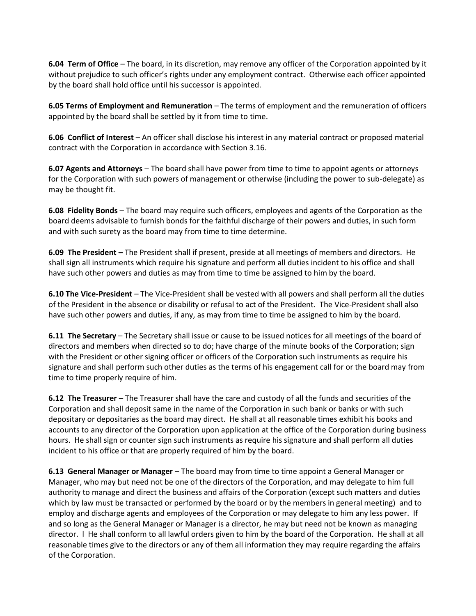**6.04 Term of Office** – The board, in its discretion, may remove any officer of the Corporation appointed by it without prejudice to such officer's rights under any employment contract. Otherwise each officer appointed by the board shall hold office until his successor is appointed.

**6.05 Terms of Employment and Remuneration** – The terms of employment and the remuneration of officers appointed by the board shall be settled by it from time to time.

**6.06 Conflict of Interest** – An officer shall disclose his interest in any material contract or proposed material contract with the Corporation in accordance with Section 3.16.

**6.07 Agents and Attorneys** – The board shall have power from time to time to appoint agents or attorneys for the Corporation with such powers of management or otherwise (including the power to sub-delegate) as may be thought fit.

**6.08 Fidelity Bonds** – The board may require such officers, employees and agents of the Corporation as the board deems advisable to furnish bonds for the faithful discharge of their powers and duties, in such form and with such surety as the board may from time to time determine.

**6.09 The President –** The President shall if present, preside at all meetings of members and directors. He shall sign all instruments which require his signature and perform all duties incident to his office and shall have such other powers and duties as may from time to time be assigned to him by the board.

**6.10 The Vice-President** – The Vice-President shall be vested with all powers and shall perform all the duties of the President in the absence or disability or refusal to act of the President. The Vice-President shall also have such other powers and duties, if any, as may from time to time be assigned to him by the board.

**6.11 The Secretary** – The Secretary shall issue or cause to be issued notices for all meetings of the board of directors and members when directed so to do; have charge of the minute books of the Corporation; sign with the President or other signing officer or officers of the Corporation such instruments as require his signature and shall perform such other duties as the terms of his engagement call for or the board may from time to time properly require of him.

**6.12 The Treasurer** – The Treasurer shall have the care and custody of all the funds and securities of the Corporation and shall deposit same in the name of the Corporation in such bank or banks or with such depositary or depositaries as the board may direct. He shall at all reasonable times exhibit his books and accounts to any director of the Corporation upon application at the office of the Corporation during business hours. He shall sign or counter sign such instruments as require his signature and shall perform all duties incident to his office or that are properly required of him by the board.

**6.13 General Manager or Manager** – The board may from time to time appoint a General Manager or Manager, who may but need not be one of the directors of the Corporation, and may delegate to him full authority to manage and direct the business and affairs of the Corporation (except such matters and duties which by law must be transacted or performed by the board or by the members in general meeting) and to employ and discharge agents and employees of the Corporation or may delegate to him any less power. If and so long as the General Manager or Manager is a director, he may but need not be known as managing director. l He shall conform to all lawful orders given to him by the board of the Corporation. He shall at all reasonable times give to the directors or any of them all information they may require regarding the affairs of the Corporation.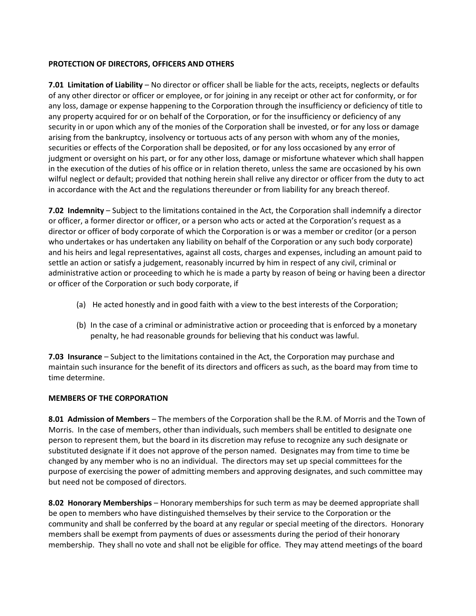### **PROTECTION OF DIRECTORS, OFFICERS AND OTHERS**

**7.01 Limitation of Liability** – No director or officer shall be liable for the acts, receipts, neglects or defaults of any other director or officer or employee, or for joining in any receipt or other act for conformity, or for any loss, damage or expense happening to the Corporation through the insufficiency or deficiency of title to any property acquired for or on behalf of the Corporation, or for the insufficiency or deficiency of any security in or upon which any of the monies of the Corporation shall be invested, or for any loss or damage arising from the bankruptcy, insolvency or tortuous acts of any person with whom any of the monies, securities or effects of the Corporation shall be deposited, or for any loss occasioned by any error of judgment or oversight on his part, or for any other loss, damage or misfortune whatever which shall happen in the execution of the duties of his office or in relation thereto, unless the same are occasioned by his own wilful neglect or default; provided that nothing herein shall relive any director or officer from the duty to act in accordance with the Act and the regulations thereunder or from liability for any breach thereof.

**7.02 Indemnity** – Subject to the limitations contained in the Act, the Corporation shall indemnify a director or officer, a former director or officer, or a person who acts or acted at the Corporation's request as a director or officer of body corporate of which the Corporation is or was a member or creditor (or a person who undertakes or has undertaken any liability on behalf of the Corporation or any such body corporate) and his heirs and legal representatives, against all costs, charges and expenses, including an amount paid to settle an action or satisfy a judgement, reasonably incurred by him in respect of any civil, criminal or administrative action or proceeding to which he is made a party by reason of being or having been a director or officer of the Corporation or such body corporate, if

- (a) He acted honestly and in good faith with a view to the best interests of the Corporation;
- (b) In the case of a criminal or administrative action or proceeding that is enforced by a monetary penalty, he had reasonable grounds for believing that his conduct was lawful.

**7.03 Insurance** – Subject to the limitations contained in the Act, the Corporation may purchase and maintain such insurance for the benefit of its directors and officers as such, as the board may from time to time determine.

#### **MEMBERS OF THE CORPORATION**

**8.01 Admission of Members** – The members of the Corporation shall be the R.M. of Morris and the Town of Morris. In the case of members, other than individuals, such members shall be entitled to designate one person to represent them, but the board in its discretion may refuse to recognize any such designate or substituted designate if it does not approve of the person named. Designates may from time to time be changed by any member who is no an individual. The directors may set up special committees for the purpose of exercising the power of admitting members and approving designates, and such committee may but need not be composed of directors.

**8.02 Honorary Memberships** – Honorary memberships for such term as may be deemed appropriate shall be open to members who have distinguished themselves by their service to the Corporation or the community and shall be conferred by the board at any regular or special meeting of the directors. Honorary members shall be exempt from payments of dues or assessments during the period of their honorary membership. They shall no vote and shall not be eligible for office. They may attend meetings of the board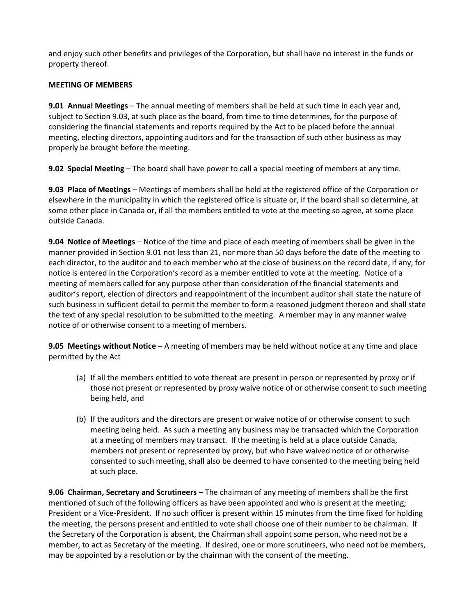and enjoy such other benefits and privileges of the Corporation, but shall have no interest in the funds or property thereof.

# **MEETING OF MEMBERS**

**9.01 Annual Meetings** – The annual meeting of members shall be held at such time in each year and, subject to Section 9.03, at such place as the board, from time to time determines, for the purpose of considering the financial statements and reports required by the Act to be placed before the annual meeting, electing directors, appointing auditors and for the transaction of such other business as may properly be brought before the meeting.

**9.02 Special Meeting** – The board shall have power to call a special meeting of members at any time.

**9.03 Place of Meetings** – Meetings of members shall be held at the registered office of the Corporation or elsewhere in the municipality in which the registered office is situate or, if the board shall so determine, at some other place in Canada or, if all the members entitled to vote at the meeting so agree, at some place outside Canada.

**9.04 Notice of Meetings** – Notice of the time and place of each meeting of members shall be given in the manner provided in Section 9.01 not less than 21, nor more than 50 days before the date of the meeting to each director, to the auditor and to each member who at the close of business on the record date, if any, for notice is entered in the Corporation's record as a member entitled to vote at the meeting. Notice of a meeting of members called for any purpose other than consideration of the financial statements and auditor's report, election of directors and reappointment of the incumbent auditor shall state the nature of such business in sufficient detail to permit the member to form a reasoned judgment thereon and shall state the text of any special resolution to be submitted to the meeting. A member may in any manner waive notice of or otherwise consent to a meeting of members.

**9.05 Meetings without Notice** – A meeting of members may be held without notice at any time and place permitted by the Act

- (a) If all the members entitled to vote thereat are present in person or represented by proxy or if those not present or represented by proxy waive notice of or otherwise consent to such meeting being held, and
- (b) If the auditors and the directors are present or waive notice of or otherwise consent to such meeting being held. As such a meeting any business may be transacted which the Corporation at a meeting of members may transact. If the meeting is held at a place outside Canada, members not present or represented by proxy, but who have waived notice of or otherwise consented to such meeting, shall also be deemed to have consented to the meeting being held at such place.

**9.06 Chairman, Secretary and Scrutineers** – The chairman of any meeting of members shall be the first mentioned of such of the following officers as have been appointed and who is present at the meeting; President or a Vice-President. If no such officer is present within 15 minutes from the time fixed for holding the meeting, the persons present and entitled to vote shall choose one of their number to be chairman. If the Secretary of the Corporation is absent, the Chairman shall appoint some person, who need not be a member, to act as Secretary of the meeting. If desired, one or more scrutineers, who need not be members, may be appointed by a resolution or by the chairman with the consent of the meeting.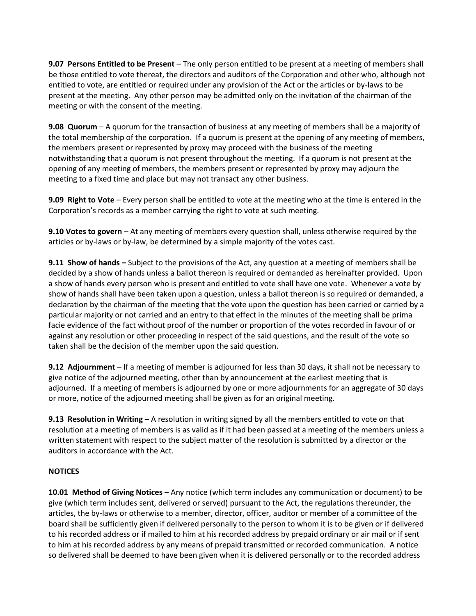**9.07 Persons Entitled to be Present** – The only person entitled to be present at a meeting of members shall be those entitled to vote thereat, the directors and auditors of the Corporation and other who, although not entitled to vote, are entitled or required under any provision of the Act or the articles or by-laws to be present at the meeting. Any other person may be admitted only on the invitation of the chairman of the meeting or with the consent of the meeting.

**9.08 Quorum** – A quorum for the transaction of business at any meeting of members shall be a majority of the total membership of the corporation. If a quorum is present at the opening of any meeting of members, the members present or represented by proxy may proceed with the business of the meeting notwithstanding that a quorum is not present throughout the meeting. If a quorum is not present at the opening of any meeting of members, the members present or represented by proxy may adjourn the meeting to a fixed time and place but may not transact any other business.

**9.09 Right to Vote** – Every person shall be entitled to vote at the meeting who at the time is entered in the Corporation's records as a member carrying the right to vote at such meeting.

**9.10 Votes to govern** – At any meeting of members every question shall, unless otherwise required by the articles or by-laws or by-law, be determined by a simple majority of the votes cast.

**9.11 Show of hands –** Subject to the provisions of the Act, any question at a meeting of members shall be decided by a show of hands unless a ballot thereon is required or demanded as hereinafter provided. Upon a show of hands every person who is present and entitled to vote shall have one vote. Whenever a vote by show of hands shall have been taken upon a question, unless a ballot thereon is so required or demanded, a declaration by the chairman of the meeting that the vote upon the question has been carried or carried by a particular majority or not carried and an entry to that effect in the minutes of the meeting shall be prima facie evidence of the fact without proof of the number or proportion of the votes recorded in favour of or against any resolution or other proceeding in respect of the said questions, and the result of the vote so taken shall be the decision of the member upon the said question.

**9.12 Adjournment** – If a meeting of member is adjourned for less than 30 days, it shall not be necessary to give notice of the adjourned meeting, other than by announcement at the earliest meeting that is adjourned. If a meeting of members is adjourned by one or more adjournments for an aggregate of 30 days or more, notice of the adjourned meeting shall be given as for an original meeting.

**9.13 Resolution in Writing** – A resolution in writing signed by all the members entitled to vote on that resolution at a meeting of members is as valid as if it had been passed at a meeting of the members unless a written statement with respect to the subject matter of the resolution is submitted by a director or the auditors in accordance with the Act.

#### **NOTICES**

**10.01 Method of Giving Notices** – Any notice (which term includes any communication or document) to be give (which term includes sent, delivered or served) pursuant to the Act, the regulations thereunder, the articles, the by-laws or otherwise to a member, director, officer, auditor or member of a committee of the board shall be sufficiently given if delivered personally to the person to whom it is to be given or if delivered to his recorded address or if mailed to him at his recorded address by prepaid ordinary or air mail or if sent to him at his recorded address by any means of prepaid transmitted or recorded communication. A notice so delivered shall be deemed to have been given when it is delivered personally or to the recorded address